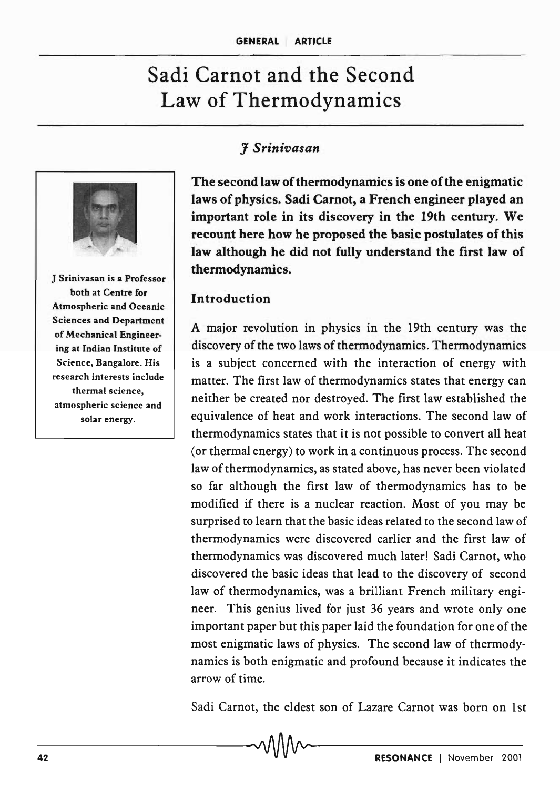# Sadi Carnot and the Second Law of Thermodynamics





J Srinivasan is a Professor both at Centre for Atmospheric and Oceanic Sciences and Department of Mechanical Engineering at Indian Institute of Science, Bangalore. His research interests include thermal science, atmospheric science and solar energy.

The second law of thermodynamics is one of the enigmatic laws of physics. Sadi Carnot, a French engineer played an important role in its discovery in the 19th century. We recount here how he proposed the basic postulates of this law although he did not fully understand the first law of thermodynamics.

## Introduction

A major revolution in physics in the 19th century was the discovery of the two laws of thermodynamics. Thermodynamics is a subject concerned with the interaction of energy with matter. The first law of thermodynamics states that energy can neither be created nor destroyed. The first law established the equivalence of heat and work interactions. The second law of thermodynamics states that it is not possible to convert all heat (or thermal energy) to work in a continuous process. The second law of thermodynamics, as stated above, has never been violated so far although the first law of thermodynamics has to be modified if there is a nuclear reaction. Most of you may be surprised to learn that the basic ideas related to the second law of thermodynamics were discovered earlier and the first law of thermodynamics was discovered much later! Sadi Carnot, who discovered the basic ideas that lead to the discovery of second law of thermodynamics, was a brilliant French military engineer. This genius lived for just 36 years and wrote only one important paper but this paper laid the foundation for one of the most enigmatic laws of physics. The second law of thermodynamics is both enigmatic and profound because it indicates the arrow of time.

Sadi Carnot, the eldest son of Lazare Carnot was born on 1st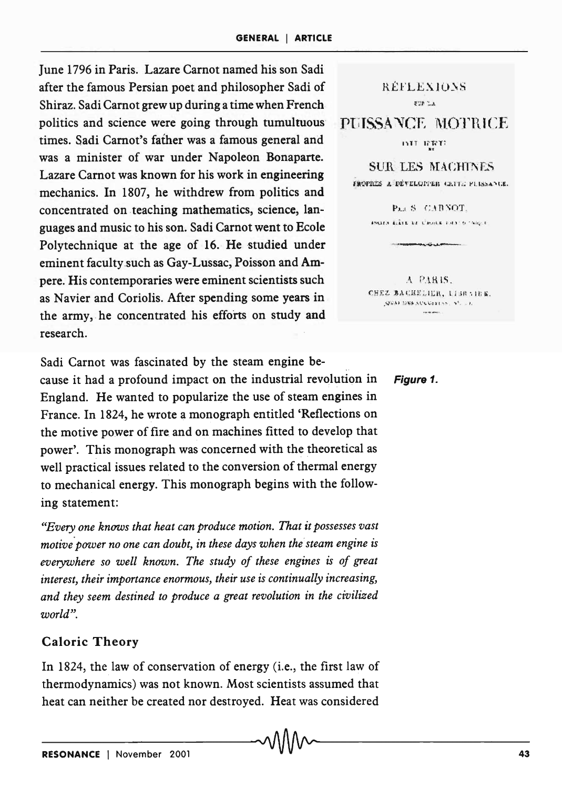June 1796 in Paris. Lazare Carnot named his son Sadi after the famous Persian poet and philosopher Sadi of Shiraz. Sadi Carnot grew up during a time when French politics and science were going through tumultuous times. Sadi Carnot's father was a famous general and was a minister of war under Napoleon Bonaparte. Lazare Carnot was known for his work in engineering mechanics. In 1807, he withdrew from politics and concentrated on teaching mathematics, science, languages and music to his son. Sadi Carnot went to Ecole Poly technique at the age of 16. He studied under eminent faculty such as Gay-Lussac, Poisson and Ampere. His contemporaries were eminent scientists such as Navier and Coriolis. After spending some years in the army, he concentrated his efforts on study and research.

Sadi Carnot was fascinated by the steam engine because it had a profound impact on the industrial revolution in Figure 1. England. He wanted to popularize the use of steam engines in France. In 1824, he wrote a monograph entitled 'Reflections on the motive power of fire and on machines fitted to develop that power'. This monograph was concerned with the theoretical as well practical issues related to the conversion of thermal energy to mechanical energy. This monograph begins with the following statement:

*"Everyone knows that heat can produce motion. That it possesses vast motive power no one can doubt, in these days when the'steam engine* is *everywhere so well known. The study of these engines* is *of great interest, their importance enormous, their use is continually increasing, and they seem destined to produce a great revolution in the civilized world".* 

#### Caloric Theory

In 1824, the law of conservation of energy (i.e., the first law of thermodynamics) was not known. Most scientists assumed that heat can neither be created nor destroyed. Heat was considered

**RÉFLEXIONS** ETP LA

# PUISSANCE MOTRICE

I)lTl~T<"P .-f:

#### SUR LES MACHINES

FROFRES A DÉVELOPPER GATE PLISSANCE.

PLA S CABNOT. indity like at those range than

A PARIS. CHEZ BACHELILR, LIBRAINE. QUALISES AUCCESSION, NULLE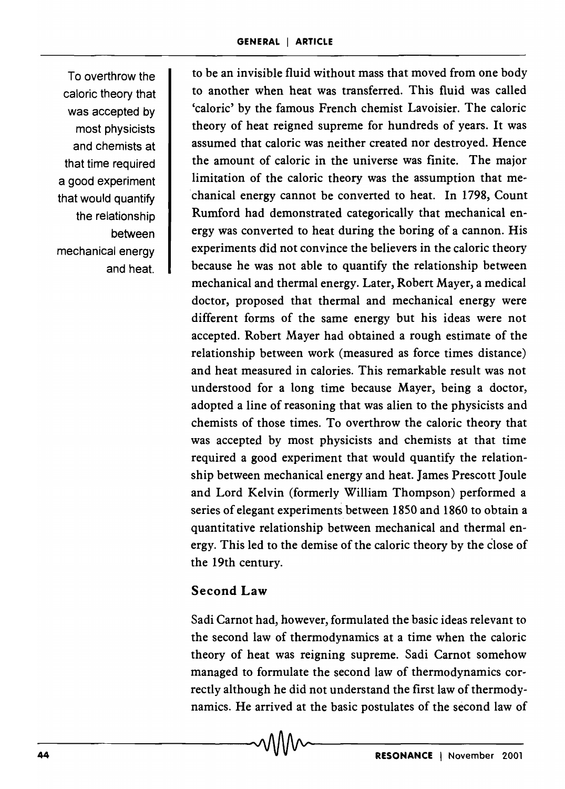To overthrow the caloric theory that was accepted by most physicists and chemists at that time required a good experiment that would quantify the relationship between mechanical energy and heat.

to be an invisible fluid without mass that moved from one body to another when heat was transferred. This fluid was called 'caloric' by the famous French chemist Lavoisier. The caloric theory of heat reigned supreme for hundreds of years. It was assumed that caloric was neither created nor destroyed. Hence the amount of caloric in the universe was finite. The major limitation of the caloric theory was the assumption that mechanical energy cannot be converted to heat. In 1798, Count Rumford had demonstrated categorically that mechanical energy was converted to heat during the boring of a cannon. His experiments did not convince the believers in the caloric theory because he was not able to quantify the relationship between mechanical and thermal energy. Later, Robert Mayer, a medical doctor, proposed that thermal and mechanical energy were different forms of the same energy but his ideas were not accepted. Robert Mayer had obtained a rough estimate of the relationship between work (measured as force times distance) and heat measured in calories. This remarkable result was not understood for a long time because Mayer, being a doctor, adopted a line of reasoning that was alien to the physicists and chemists of those times. To overthrow the caloric theory that was accepted by most physicists and chemists at that time required a good experiment that would quantify the relationship between mechanical energy and heat. James Prescott Joule and Lord Kelvin (formerly William Thompson) performed a series of elegant experiments between 1850 and 1860 to obtain a quantitative relationship between mechanical and thermal energy. This led to the demise of the caloric theory by the Close of the 19th century.

# **Second Law**

Sadi Carnot had, however, formulated the basic ideas relevant to the second law of thermodynamics at a time when the caloric theory of heat was reigning supreme. Sadi Carnot somehow managed to formulate the second law of thermodynamics correctly although he did not understand the first law of thermodynamics. He arrived at the basic postulates of the second law of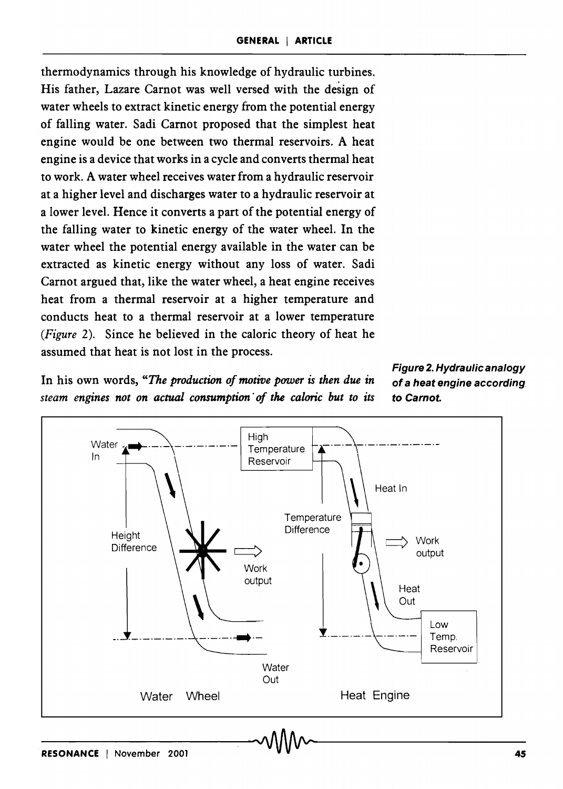thermodynamics through his knowledge of hydraulic turbines. His father, Lazare Carnot was well versed with the design of water wheels to extract kinetic energy from the potential energy of falling water. Sadi Carnot proposed that the simplest heat engine would be one between two thermal reservoirs. A heat engine is a device that works in a cycle and converts thermal heat to work. A water wheel receives water from a hydraulic reservoir at a higher level and discharges water to a hydraulic reservoir at a lower level. Hence it converts a part of the potential energy of the falling water to kinetic energy of the water wheel. In the water wheel the potential energy available in the water can be extracted as kinetic energy without any loss of water. Sadi Carnot argued that, like the water wheel, a heat engine receives heat from a thermal reservoir at a higher temperature and conducts heat to a thermal reservoir at a lower temperature *(Figure* 2). Since he believed in the caloric theory of heat he assumed that heat is not lost in the process.

In his own words, "The production of motive power is then due in of a heat engine according *steam engines not on actual consumption' of the caloric but to its* to Carnot.



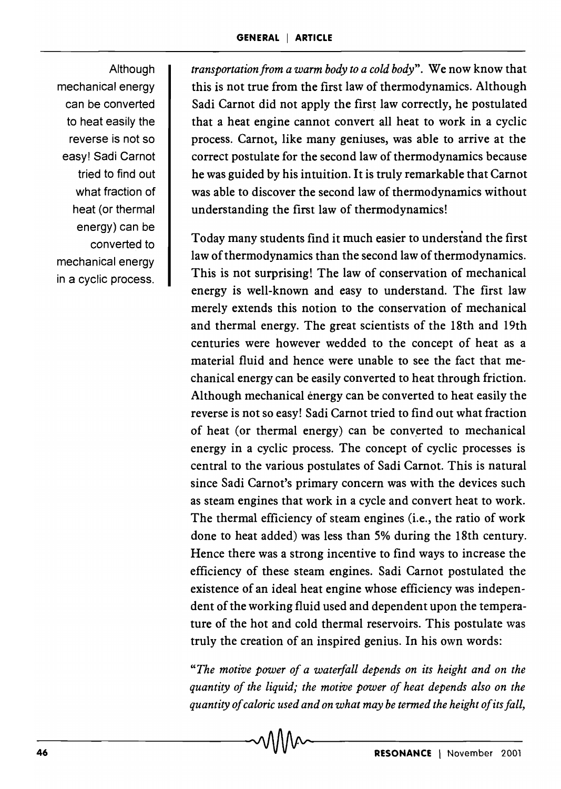Although mechanical energy can be converted to heat easily the reverse is not so easy! Sadi Carnot tried to find out what fraction of heat (or thermal energy) can be converted to mechanical energy in a cyclic process.

transportation from a warm body to a cold body". We now know that this is not true from the first law of thermodynamics. Although Sadi Carnot did not apply the first law correctly, he postulated that a heat engine cannot convert all heat to work in a cyclic process. Carnot, like many geniuses, was able to arrive at the correct postulate for the second law of thermodynamics because he was guided by his intuition. It is truly remarkable that Carnot was able to discover the second law of thermodynamics without understanding the first law of thermodynamics!

Today many students find it much easier to understand the first law of thermodynamics than the second law of thermodynamics. This is not surprising! The law of conservation of mechanical energy is well-known and easy to understand. The first law merely extends this notion to the conservation of mechanical and thermal energy. The great scientists of the 18th and 19th centuries were however wedded to the concept of heat as a material fluid and hence were unable to see the fact that mechanical energy can be easily converted to heat through friction. Although mechanical energy can be converted to heat easily the reverse is not so easy! Sadi Carnot tried to find out what fraction of heat (or thermal energy) can be converted to mechanical energy in a cyclic process. The concept of cyclic processes is central to the various postulates of Sadi Carnot. This is natural since Sadi Carnot's primary concern was with the devices such as steam engines that work in a cycle and convert heat to work. The thermal efficiency of steam engines (i.e., the ratio of work done to heat added) was less than 5% during the 18th century. Hence there was a strong incentive to find ways to increase the efficiency of these steam engines. Sadi Carnot postulated the existence of an ideal heat engine whose efficiency was independent of the working fluid used and dependent upon the temperature of the hot and cold thermal reservoirs. This postulate was truly the creation of an inspired genius. In his own words:

*"The motive power of a waterfall depends on its height and on the quantity of the liquid; the motive power of heat depends also on the quantity of caloric used and on what may be termed the height of its fall,*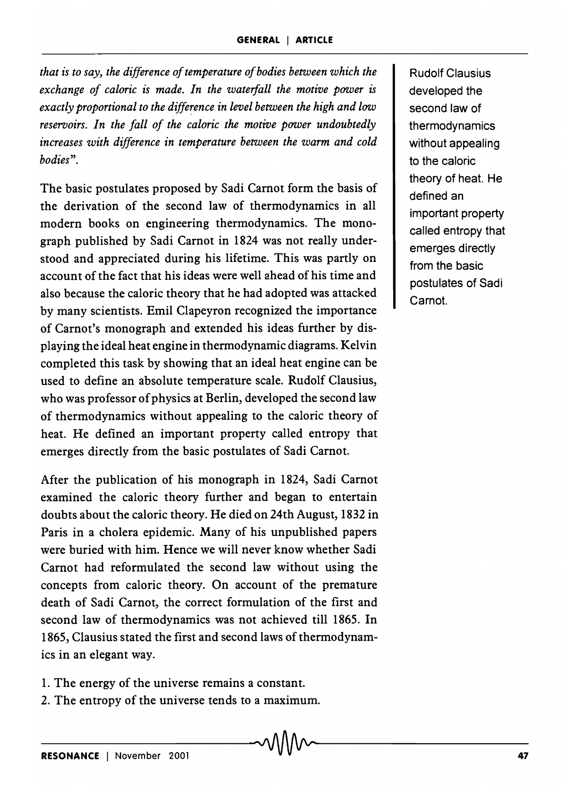*that* is *to say, the difference of temperature of bodies between which the exchange of caloric* is *made. In the waterfall the motive power* is *exactly proportional to the difference in level between the high and low reservoirs. In the fall of the caloric the motive power undoubtedly increases with difference in temperature between the warm and cold bodies".* 

The basic postulates proposed by Sadi Carnot form the basis of the derivation of the second law of thermodynamics in all modern books on engineering thermodynamics. The monograph published by Sadi Carnot in 1824 was not really understood and appreciated during his lifetime. This was partly on account of the fact that his ideas were well ahead of his time and also because the caloric theory that he had adopted was attacked by many scientists. Emil Clapeyron recognized the importance of Carnot's monograph and extended his ideas further by displaying the ideal heat engine in thermodynamic diagrams. Kelvin completed this task by showing that an ideal heat engine can be used to define an absolute temperature scale. Rudolf Clausius, who was professor of physics at Berlin, developed the second law of thermodynamics without appealing to the caloric theory of heat. He defined an important property called entropy that emerges directly from the basic postulates of Sadi Carnot.

After the publication of his monograph in 1824, Sadi Carnot examined the caloric theory further and began to entertain doubts about the caloric theory. He died on 24th August, 1832 in Paris in a cholera epidemic. Many of his unpublished papers were buried with him. Hence we will never know whether Sadi Carnot had reformulated the second law without using the concepts from caloric theory. On account of the premature death of Sadi Carnot, the correct formulation of the first and second law of thermodynamics was not achieved till 1865. In 1865, Clausius stated the first and second laws of thermodynamics in an elegant way.

- 1. The energy of the universe remains a constant.
- 2. The entropy of the universe tends to a maximum.

Rudolf Clausius developed the second law of thermodynamics without appealing to the caloric theory of heat. He defined an important property called entropy that emerges directly from the basic postulates of Sadi Carnot.